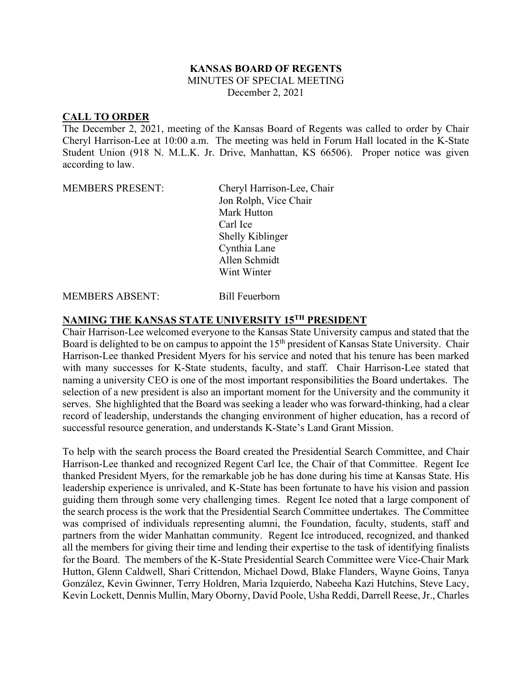## **KANSAS BOARD OF REGENTS**

MINUTES OF SPECIAL MEETING

December 2, 2021

## **CALL TO ORDER**

The December 2, 2021, meeting of the Kansas Board of Regents was called to order by Chair Cheryl Harrison-Lee at 10:00 a.m. The meeting was held in Forum Hall located in the K-State Student Union (918 N. M.L.K. Jr. Drive, Manhattan, KS 66506). Proper notice was given according to law.

MEMBERS PRESENT: Cheryl Harrison-Lee, Chair Jon Rolph, Vice Chair Mark Hutton Carl Ice Shelly Kiblinger Cynthia Lane Allen Schmidt Wint Winter

MEMBERS ABSENT: Bill Feuerborn

## **NAMING THE KANSAS STATE UNIVERSITY 15TH PRESIDENT**

Chair Harrison-Lee welcomed everyone to the Kansas State University campus and stated that the Board is delighted to be on campus to appoint the 15<sup>th</sup> president of Kansas State University. Chair Harrison-Lee thanked President Myers for his service and noted that his tenure has been marked with many successes for K-State students, faculty, and staff. Chair Harrison-Lee stated that naming a university CEO is one of the most important responsibilities the Board undertakes. The selection of a new president is also an important moment for the University and the community it serves. She highlighted that the Board was seeking a leader who was forward-thinking, had a clear record of leadership, understands the changing environment of higher education, has a record of successful resource generation, and understands K-State's Land Grant Mission.

To help with the search process the Board created the Presidential Search Committee, and Chair Harrison-Lee thanked and recognized Regent Carl Ice, the Chair of that Committee. Regent Ice thanked President Myers, for the remarkable job he has done during his time at Kansas State. His leadership experience is unrivaled, and K-State has been fortunate to have his vision and passion guiding them through some very challenging times. Regent Ice noted that a large component of the search process is the work that the Presidential Search Committee undertakes. The Committee was comprised of individuals representing alumni, the Foundation, faculty, students, staff and partners from the wider Manhattan community. Regent Ice introduced, recognized, and thanked all the members for giving their time and lending their expertise to the task of identifying finalists for the Board. The members of the K-State Presidential Search Committee were Vice-Chair Mark Hutton, Glenn Caldwell, Shari Crittendon, Michael Dowd, Blake Flanders, Wayne Goins, Tanya González, Kevin Gwinner, Terry Holdren, Maria Izquierdo, Nabeeha Kazi Hutchins, Steve Lacy, Kevin Lockett, Dennis Mullin, Mary Oborny, David Poole, Usha Reddi, Darrell Reese, Jr., Charles